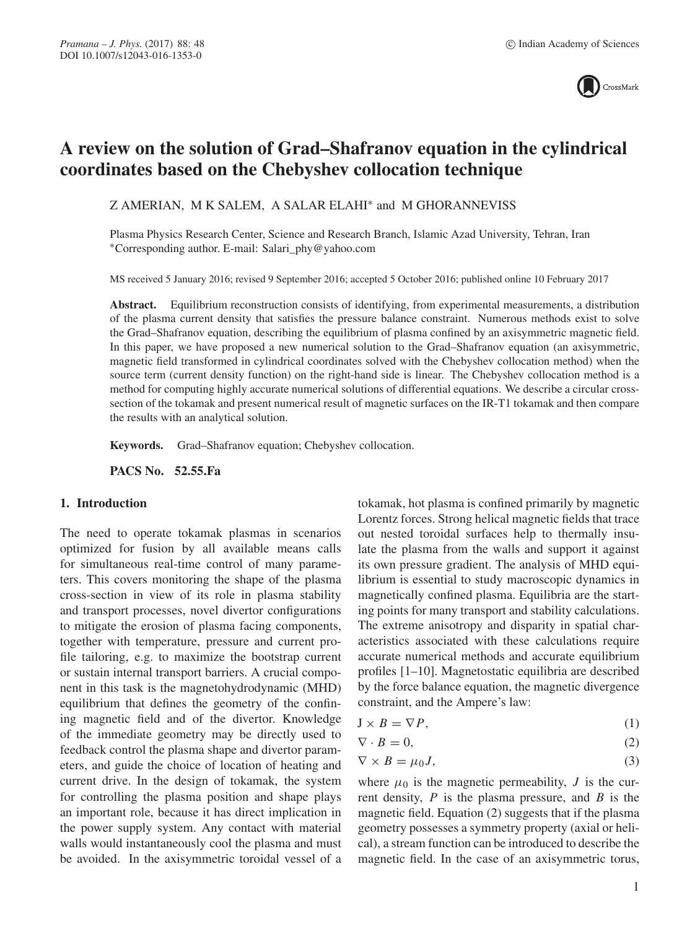

# **A review on the solution of Grad–Shafranov equation in the cylindrical coordinates based on the Chebyshev collocation technique**

Z AMERIAN, M K SALEM, A SALAR ELAHI∗ and M GHORANNEVISS

Plasma Physics Research Center, Science and Research Branch, Islamic Azad University, Tehran, Iran ∗Corresponding author. E-mail: Salari\_phy@yahoo.com

MS received 5 January 2016; revised 9 September 2016; accepted 5 October 2016; published online 10 February 2017

**Abstract.** Equilibrium reconstruction consists of identifying, from experimental measurements, a distribution of the plasma current density that satisfies the pressure balance constraint. Numerous methods exist to solve the Grad–Shafranov equation, describing the equilibrium of plasma confined by an axisymmetric magnetic field. In this paper, we have proposed a new numerical solution to the Grad–Shafranov equation (an axisymmetric, magnetic field transformed in cylindrical coordinates solved with the Chebyshev collocation method) when the source term (current density function) on the right-hand side is linear. The Chebyshev collocation method is a method for computing highly accurate numerical solutions of differential equations. We describe a circular crosssection of the tokamak and present numerical result of magnetic surfaces on the IR-T1 tokamak and then compare the results with an analytical solution.

**Keywords.** Grad–Shafranov equation; Chebyshev collocation.

**PACS No. 52.55.Fa**

#### **1. Introduction**

The need to operate tokamak plasmas in scenarios optimized for fusion by all available means calls for simultaneous real-time control of many parameters. This covers monitoring the shape of the plasma cross-section in view of its role in plasma stability and transport processes, novel divertor configurations to mitigate the erosion of plasma facing components, together with temperature, pressure and current profile tailoring, e.g. to maximize the bootstrap current or sustain internal transport barriers. A crucial component in this task is the magnetohydrodynamic (MHD) equilibrium that defines the geometry of the confining magnetic field and of the divertor. Knowledge of the immediate geometry may be directly used to feedback control the plasma shape and divertor parameters, and guide the choice of location of heating and current drive. In the design of tokamak, the system for controlling the plasma position and shape plays an important role, because it has direct implication in the power supply system. Any contact with material walls would instantaneously cool the plasma and must be avoided. In the axisymmetric toroidal vessel of a tokamak, hot plasma is confined primarily by magnetic Lorentz forces. Strong helical magnetic fields that trace out nested toroidal surfaces help to thermally insulate the plasma from the walls and support it against its own pressure gradient. The analysis of MHD equilibrium is essential to study macroscopic dynamics in magnetically confined plasma. Equilibria are the starting points for many transport and stability calculations. The extreme anisotropy and disparity in spatial characteristics associated with these calculations require accurate numerical methods and accurate equilibrium profiles [1–10]. Magnetostatic equilibria are described by the force balance equation, the magnetic divergence constraint, and the Ampere's law:

$$
J \times B = \nabla P,\tag{1}
$$

$$
\nabla \cdot B = 0,\tag{2}
$$

$$
\nabla \times B = \mu_0 J,\tag{3}
$$

where  $\mu_0$  is the magnetic permeability, J is the current density,  $P$  is the plasma pressure, and  $B$  is the magnetic field. Equation (2) suggests that if the plasma geometry possesses a symmetry property (axial or helical), a stream function can be introduced to describe the magnetic field. In the case of an axisymmetric torus,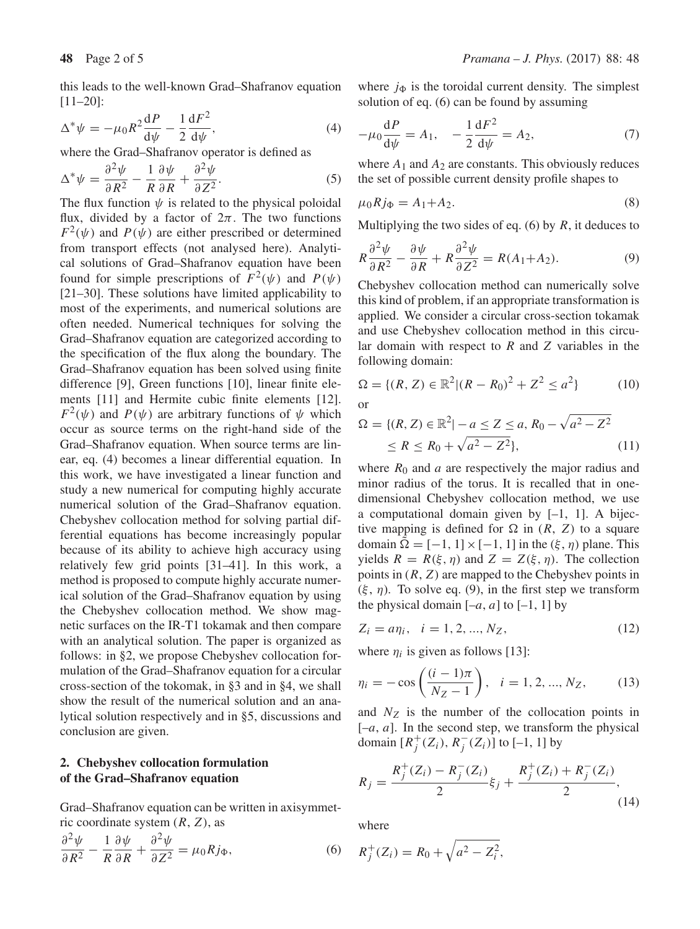this leads to the well-known Grad–Shafranov equation [11–20]:

$$
\Delta^* \psi = -\mu_0 R^2 \frac{\mathrm{d}P}{\mathrm{d}\psi} - \frac{1}{2} \frac{\mathrm{d}F^2}{\mathrm{d}\psi},\tag{4}
$$

where the Grad–Shafranov operator is defined as

$$
\Delta^* \psi = \frac{\partial^2 \psi}{\partial R^2} - \frac{1}{R} \frac{\partial \psi}{\partial R} + \frac{\partial^2 \psi}{\partial Z^2}.
$$
 (5)

The flux function  $\psi$  is related to the physical poloidal flux, divided by a factor of  $2\pi$ . The two functions  $F^2(\psi)$  and  $P(\psi)$  are either prescribed or determined from transport effects (not analysed here). Analytical solutions of Grad–Shafranov equation have been found for simple prescriptions of  $F^2(\psi)$  and  $P(\psi)$ [21–30]. These solutions have limited applicability to most of the experiments, and numerical solutions are often needed. Numerical techniques for solving the Grad–Shafranov equation are categorized according to the specification of the flux along the boundary. The Grad–Shafranov equation has been solved using finite difference [9], Green functions [10], linear finite elements [11] and Hermite cubic finite elements [12].  $F^2(\psi)$  and  $P(\psi)$  are arbitrary functions of  $\psi$  which occur as source terms on the right-hand side of the Grad–Shafranov equation. When source terms are linear, eq. (4) becomes a linear differential equation. In this work, we have investigated a linear function and study a new numerical for computing highly accurate numerical solution of the Grad–Shafranov equation. Chebyshev collocation method for solving partial differential equations has become increasingly popular because of its ability to achieve high accuracy using relatively few grid points [31–41]. In this work, a method is proposed to compute highly accurate numerical solution of the Grad–Shafranov equation by using the Chebyshev collocation method. We show magnetic surfaces on the IR-T1 tokamak and then compare with an analytical solution. The paper is organized as follows: in §2, we propose Chebyshev collocation formulation of the Grad–Shafranov equation for a circular cross-section of the tokomak, in §3 and in §4, we shall show the result of the numerical solution and an analytical solution respectively and in §5, discussions and conclusion are given.

# **2. Chebyshev collocation formulation of the Grad–Shafranov equation**

Grad–Shafranov equation can be written in axisymmetric coordinate system  $(R, Z)$ , as

$$
\frac{\partial^2 \psi}{\partial R^2} - \frac{1}{R} \frac{\partial \psi}{\partial R} + \frac{\partial^2 \psi}{\partial Z^2} = \mu_0 R j_\Phi, \tag{6}
$$

where  $j_{\Phi}$  is the toroidal current density. The simplest solution of eq. (6) can be found by assuming

$$
-\mu_0 \frac{dP}{d\psi} = A_1, \quad -\frac{1}{2} \frac{dF^2}{d\psi} = A_2,\tag{7}
$$

where  $A_1$  and  $A_2$  are constants. This obviously reduces the set of possible current density profile shapes to

$$
\mu_0 R j_\Phi = A_1 + A_2. \tag{8}
$$

Multiplying the two sides of eq. (6) by  $R$ , it deduces to

$$
R\frac{\partial^2 \psi}{\partial R^2} - \frac{\partial \psi}{\partial R} + R\frac{\partial^2 \psi}{\partial Z^2} = R(A_1 + A_2). \tag{9}
$$

Chebyshev collocation method can numerically solve this kind of problem, if an appropriate transformation is applied. We consider a circular cross-section tokamak and use Chebyshev collocation method in this circular domain with respect to *R* and *Z* variables in the following domain:

$$
\Omega = \{ (R, Z) \in \mathbb{R}^2 | (R - R_0)^2 + Z^2 \le a^2 \}
$$
 (10)

or

$$
\Omega = \{ (R, Z) \in \mathbb{R}^2 | -a \le Z \le a, R_0 - \sqrt{a^2 - Z^2} \}\le R \le R_0 + \sqrt{a^2 - Z^2} \},
$$
\n(11)

where  $R_0$  and a are respectively the major radius and minor radius of the torus. It is recalled that in onedimensional Chebyshev collocation method, we use a computational domain given by  $[-1, 1]$ . A bijective mapping is defined for  $\Omega$  in  $(R, Z)$  to a square domain  $\Omega = [-1, 1] \times [-1, 1]$  in the  $(\xi, \eta)$  plane. This yields  $R = R(\xi, \eta)$  and  $Z = Z(\xi, \eta)$ . The collection points in  $(R, Z)$  are mapped to the Chebyshev points in  $(\xi, \eta)$ . To solve eq. (9), in the first step we transform the physical domain  $[-a, a]$  to  $[-1, 1]$  by

$$
Z_i = a\eta_i, \quad i = 1, 2, ..., N_Z,
$$
\n(12)

where  $\eta_i$  is given as follows [13]:

$$
\eta_i = -\cos\left(\frac{(i-1)\pi}{N_Z - 1}\right), \quad i = 1, 2, ..., N_Z,
$$
 (13)

and  $N_Z$  is the number of the collocation points in  $[-a, a]$ . In the second step, we transform the physical domain  $[R_j^+(Z_i), R_j^-(Z_i)]$  to [-1, 1] by

$$
R_j = \frac{R_j^+(Z_i) - R_j^-(Z_i)}{2} \xi_j + \frac{R_j^+(Z_i) + R_j^-(Z_i)}{2},
$$
\n(14)

where

$$
R_j^+(Z_i) = R_0 + \sqrt{a^2 - Z_i^2},
$$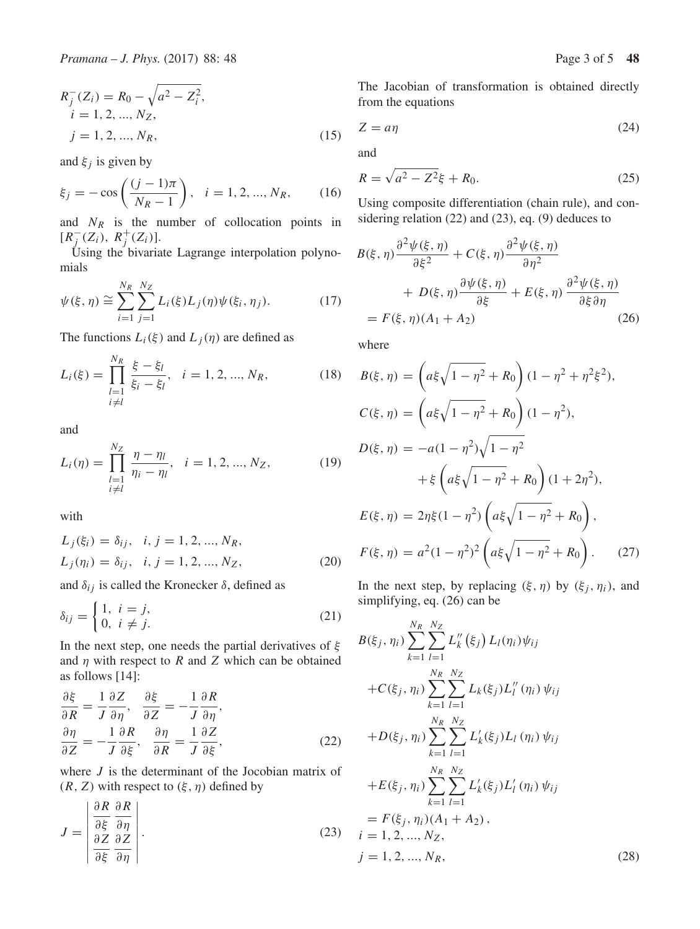$$
R_j^-(Z_i) = R_0 - \sqrt{a^2 - Z_i^2},
$$
  
\n $i = 1, 2, ..., N_Z,$   
\n $j = 1, 2, ..., N_R,$  (15)

and  $\xi_i$  is given by

$$
\xi_j = -\cos\left(\frac{(j-1)\pi}{N_R - 1}\right), \quad i = 1, 2, ..., N_R,
$$
\n(16)

and  $N_R$  is the number of collocation points in  $[R_j^-(Z_i), R_j^+(Z_i)].$ 

Using the bivariate Lagrange interpolation polynomials

$$
\psi(\xi, \eta) \cong \sum_{i=1}^{N_R} \sum_{j=1}^{N_Z} L_i(\xi) L_j(\eta) \psi(\xi_i, \eta_j). \tag{17}
$$

The functions  $L_i(\xi)$  and  $L_j(\eta)$  are defined as

$$
L_i(\xi) = \prod_{\substack{l=1 \ i \neq l}}^{N_R} \frac{\xi - \xi_l}{\xi_i - \xi_l}, \quad i = 1, 2, ..., N_R,
$$
 (18)

and

$$
L_i(\eta) = \prod_{\substack{l=1 \ i \neq l}}^{N_Z} \frac{\eta - \eta_l}{\eta_i - \eta_l}, \quad i = 1, 2, ..., N_Z,
$$
 (19)

with

$$
L_j(\xi_i) = \delta_{ij}, \quad i, j = 1, 2, ..., N_R,
$$
  
\n
$$
L_j(\eta_i) = \delta_{ij}, \quad i, j = 1, 2, ..., N_Z,
$$
\n(20)

and  $\delta_{ij}$  is called the Kronecker  $\delta$ , defined as

$$
\delta_{ij} = \begin{cases} 1, & i = j, \\ 0, & i \neq j. \end{cases}
$$
 (21)

In the next step, one needs the partial derivatives of  $\xi$ and  $\eta$  with respect to R and Z which can be obtained as follows [14]:

$$
\frac{\partial \xi}{\partial R} = \frac{1}{J} \frac{\partial Z}{\partial \eta}, \quad \frac{\partial \xi}{\partial Z} = -\frac{1}{J} \frac{\partial R}{\partial \eta}, \n\frac{\partial \eta}{\partial Z} = -\frac{1}{J} \frac{\partial R}{\partial \xi}, \quad \frac{\partial \eta}{\partial R} = \frac{1}{J} \frac{\partial Z}{\partial \xi},
$$
\n(22)

where  $J$  is the determinant of the Jocobian matrix of  $(R, Z)$  with respect to  $(\xi, \eta)$  defined by

$$
J = \begin{vmatrix} \frac{\partial R}{\partial \xi} & \frac{\partial R}{\partial \eta} \\ \frac{\partial Z}{\partial \xi} & \frac{\partial Z}{\partial \eta} \end{vmatrix}.
$$
 (23)

The Jacobian of transformation is obtained directly from the equations

$$
Z = a\eta \tag{24}
$$

and

$$
R = \sqrt{a^2 - Z^2}\xi + R_0.
$$
 (25)

Using composite differentiation (chain rule), and considering relation (22) and (23), eq. (9) deduces to

$$
B(\xi, \eta) \frac{\partial^2 \psi(\xi, \eta)}{\partial \xi^2} + C(\xi, \eta) \frac{\partial^2 \psi(\xi, \eta)}{\partial \eta^2} + D(\xi, \eta) \frac{\partial \psi(\xi, \eta)}{\partial \xi} + E(\xi, \eta) \frac{\partial^2 \psi(\xi, \eta)}{\partial \xi \partial \eta} = F(\xi, \eta) (A_1 + A_2)
$$
(26)

where

$$
B(\xi, \eta) = \left( a\xi\sqrt{1-\eta^2} + R_0 \right) (1 - \eta^2 + \eta^2 \xi^2),
$$
  
\n
$$
C(\xi, \eta) = \left( a\xi\sqrt{1-\eta^2} + R_0 \right) (1 - \eta^2),
$$
  
\n
$$
D(\xi, \eta) = -a(1 - \eta^2)\sqrt{1-\eta^2} + \xi \left( a\xi\sqrt{1-\eta^2} + R_0 \right) (1 + 2\eta^2),
$$
  
\n
$$
E(\xi, \eta) = 2\eta \xi (1 - \eta^2) \left( a\xi\sqrt{1-\eta^2} + R_0 \right),
$$
  
\n
$$
F(\xi, \eta) = a^2(1 - \eta^2)^2 \left( a\xi\sqrt{1-\eta^2} + R_0 \right).
$$
 (27)

In the next step, by replacing  $(\xi, \eta)$  by  $(\xi_i, \eta_i)$ , and simplifying, eq. (26) can be

$$
B(\xi_j, \eta_i) \sum_{k=1}^{N_R} \sum_{l=1}^{N_Z} L_k''(\xi_j) L_l(\eta_i) \psi_{ij}
$$
  
+
$$
C(\xi_j, \eta_i) \sum_{k=1}^{N_R} \sum_{l=1}^{N_Z} L_k(\xi_j) L_l''(\eta_i) \psi_{ij}
$$
  
+
$$
D(\xi_j, \eta_i) \sum_{k=1}^{N_R} \sum_{l=1}^{N_Z} L_k'(\xi_j) L_l(\eta_i) \psi_{ij}
$$
  
+
$$
E(\xi_j, \eta_i) \sum_{k=1}^{N_R} \sum_{l=1}^{N_Z} L_k'(\xi_j) L_l'(\eta_i) \psi_{ij}
$$
  
= 
$$
F(\xi_j, \eta_i) (A_1 + A_2),
$$
  

$$
i = 1, 2, ..., N_Z,
$$
  

$$
j = 1, 2, ..., N_R,
$$
 (28)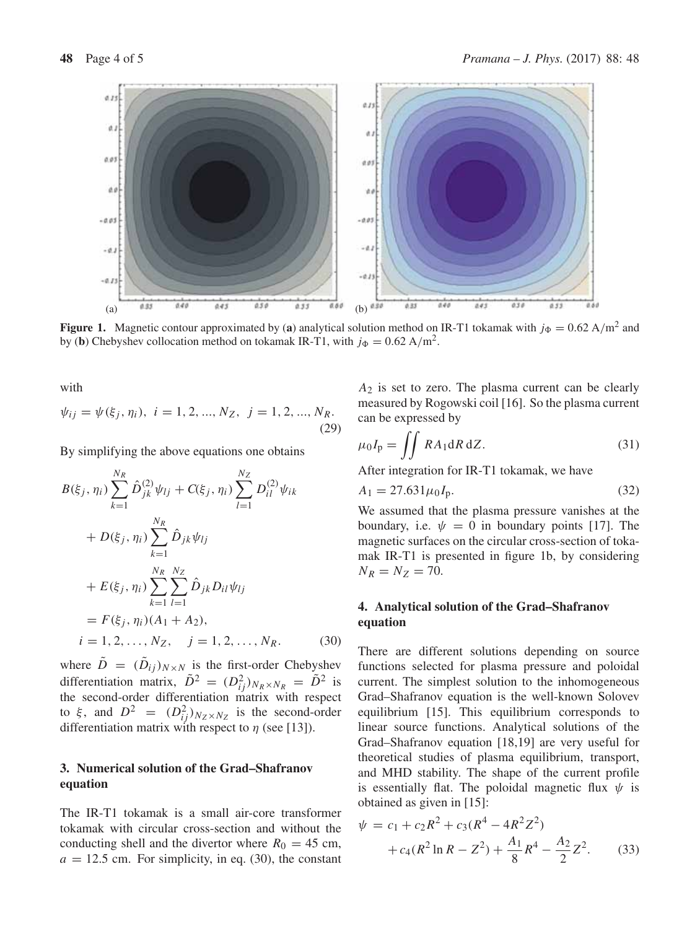

**Figure 1.** Magnetic contour approximated by (a) analytical solution method on IR-T1 tokamak with  $j_{\Phi} = 0.62 \text{ A/m}^2$  and by (**b**) Chebyshev collocation method on tokamak IR-T1, with  $j_{\Phi} = 0.62 \text{ A/m}^2$ .

with

$$
\psi_{ij} = \psi(\xi_j, \eta_i), \quad i = 1, 2, ..., N_Z, \quad j = 1, 2, ..., N_R.
$$
\n(29)

By simplifying the above equations one obtains

$$
B(\xi_j, \eta_i) \sum_{k=1}^{N_R} \hat{D}_{jk}^{(2)} \psi_{lj} + C(\xi_j, \eta_i) \sum_{l=1}^{N_Z} D_{il}^{(2)} \psi_{ik}
$$
  
+  $D(\xi_j, \eta_i) \sum_{k=1}^{N_R} \hat{D}_{jk} \psi_{lj}$   
+  $E(\xi_j, \eta_i) \sum_{k=1}^{N_R} \sum_{l=1}^{N_Z} \hat{D}_{jk} D_{il} \psi_{lj}$   
=  $F(\xi_j, \eta_i) (A_1 + A_2),$   
 $i = 1, 2, ..., N_Z, j = 1, 2, ..., N_R.$  (30)

where  $\tilde{D} = (\tilde{D}_{ij})_{N \times N}$  is the first-order Chebyshev differentiation matrix,  $\tilde{D}^2 = (D_{ij}^2)_{N_R \times N_R} = \tilde{D}^2$  is the second-order differentiation matrix with respect to  $\xi$ , and  $D^2 = (D_{ij}^2)_{N_Z \times N_Z}$  is the second-order differentiation matrix with respect to  $\eta$  (see [13]).

# **3. Numerical solution of the Grad–Shafranov equation**

The IR-T1 tokamak is a small air-core transformer tokamak with circular cross-section and without the conducting shell and the divertor where  $R_0 = 45$  cm,  $a = 12.5$  cm. For simplicity, in eq. (30), the constant

 $A_2$  is set to zero. The plasma current can be clearly measured by Rogowski coil [16]. So the plasma current can be expressed by

$$
\mu_0 I_p = \iint R A_1 \mathrm{d}R \, \mathrm{d}Z. \tag{31}
$$

After integration for IR-T1 tokamak, we have

$$
A_1 = 27.631 \mu_0 I_p. \tag{32}
$$

We assumed that the plasma pressure vanishes at the boundary, i.e.  $\psi = 0$  in boundary points [17]. The magnetic surfaces on the circular cross-section of tokamak IR-T1 is presented in figure 1b, by considering  $N_R = N_Z = 70.$ 

### **4. Analytical solution of the Grad–Shafranov equation**

There are different solutions depending on source functions selected for plasma pressure and poloidal current. The simplest solution to the inhomogeneous Grad–Shafranov equation is the well-known Solovev equilibrium [15]. This equilibrium corresponds to linear source functions. Analytical solutions of the Grad–Shafranov equation [18,19] are very useful for theoretical studies of plasma equilibrium, transport, and MHD stability. The shape of the current profile is essentially flat. The poloidal magnetic flux  $\psi$  is obtained as given in [15]:

$$
\psi = c_1 + c_2 R^2 + c_3 (R^4 - 4R^2 Z^2) \n+ c_4 (R^2 \ln R - Z^2) + \frac{A_1}{8} R^4 - \frac{A_2}{2} Z^2.
$$
\n(33)